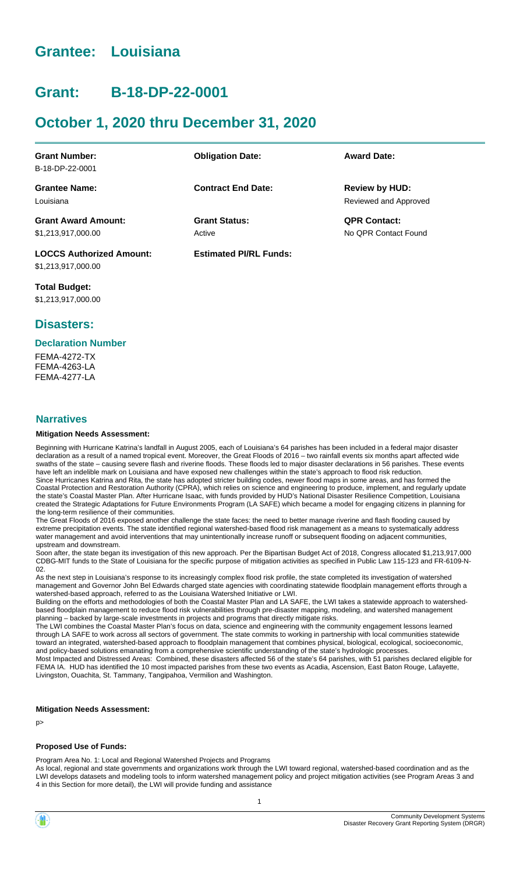# **Grantee: Louisiana**

# **Grant: B-18-DP-22-0001**

# **October 1, 2020 thru December 31, 2020**

| <b>Grant Number:</b>            | <b>Obligation Date:</b>       | <b>Award Date:</b>    |
|---------------------------------|-------------------------------|-----------------------|
| B-18-DP-22-0001                 |                               |                       |
| <b>Grantee Name:</b>            | <b>Contract End Date:</b>     | <b>Review by HUD:</b> |
| Louisiana                       |                               | Reviewed and Approved |
| <b>Grant Award Amount:</b>      | <b>Grant Status:</b>          | <b>QPR Contact:</b>   |
| \$1,213,917,000.00              | Active                        | No OPR Contact Found  |
| <b>LOCCS Authorized Amount:</b> | <b>Estimated PI/RL Funds:</b> |                       |

**Total Budget:** \$1,213,917,000.00

\$1,213,917,000.00

## **Disasters:**

#### **Declaration Number**

FEMA-4272-TX FEMA-4263-LA **FFMA-4277-LA** 

#### **Narratives**

#### **Mitigation Needs Assessment:**

Beginning with Hurricane Katrina's landfall in August 2005, each of Louisiana's 64 parishes has been included in a federal major disaster declaration as a result of a named tropical event. Moreover, the Great Floods of 2016 – two rainfall events six months apart affected wide swaths of the state – causing severe flash and riverine floods. These floods led to major disaster declarations in 56 parishes. These events have left an indelible mark on Louisiana and have exposed new challenges within the state's approach to flood risk reduction. Since Hurricanes Katrina and Rita, the state has adopted stricter building codes, newer flood maps in some areas, and has formed the Coastal Protection and Restoration Authority (CPRA), which relies on science and engineering to produce, implement, and regularly update the state's Coastal Master Plan. After Hurricane Isaac, with funds provided by HUD's National Disaster Resilience Competition, Louisiana created the Strategic Adaptations for Future Environments Program (LA SAFE) which became a model for engaging citizens in planning for the long-term resilience of their communities.

The Great Floods of 2016 exposed another challenge the state faces: the need to better manage riverine and flash flooding caused by extreme precipitation events. The state identified regional watershed-based flood risk management as a means to systematically address water management and avoid interventions that may unintentionally increase runoff or subsequent flooding on adjacent communities, upstream and downstream.

Soon after, the state began its investigation of this new approach. Per the Bipartisan Budget Act of 2018, Congress allocated \$1,213,917,000 CDBG-MIT funds to the State of Louisiana for the specific purpose of mitigation activities as specified in Public Law 115-123 and FR-6109-N-02.

As the next step in Louisiana's response to its increasingly complex flood risk profile, the state completed its investigation of watershed management and Governor John Bel Edwards charged state agencies with coordinating statewide floodplain management efforts through a watershed-based approach, referred to as the Louisiana Watershed Initiative or LWI.

Building on the efforts and methodologies of both the Coastal Master Plan and LA SAFE, the LWI takes a statewide approach to watershedbased floodplain management to reduce flood risk vulnerabilities through pre-disaster mapping, modeling, and watershed management planning – backed by large-scale investments in projects and programs that directly mitigate risks.

The LWI combines the Coastal Master Plan's focus on data, science and engineering with the community engagement lessons learned through LA SAFE to work across all sectors of government. The state commits to working in partnership with local communities statewide toward an integrated, watershed-based approach to floodplain management that combines physical, biological, ecological, socioeconomic, and policy-based solutions emanating from a comprehensive scientific understanding of the state's hydrologic processes. Most Impacted and Distressed Areas: Combined, these disasters affected 56 of the state's 64 parishes, with 51 parishes declared eligible for FEMA IA. HUD has identified the 10 most impacted parishes from these two events as Acadia, Ascension, East Baton Rouge, Lafayette, Livingston, Ouachita, St. Tammany, Tangipahoa, Vermilion and Washington.

#### **Mitigation Needs Assessment:**

p>

#### **Proposed Use of Funds:**

Program Area No. 1: Local and Regional Watershed Projects and Programs

As local, regional and state governments and organizations work through the LWI toward regional, watershed-based coordination and as the LWI develops datasets and modeling tools to inform watershed management policy and project mitigation activities (see Program Areas 3 and 4 in this Section for more detail), the LWI will provide funding and assistance

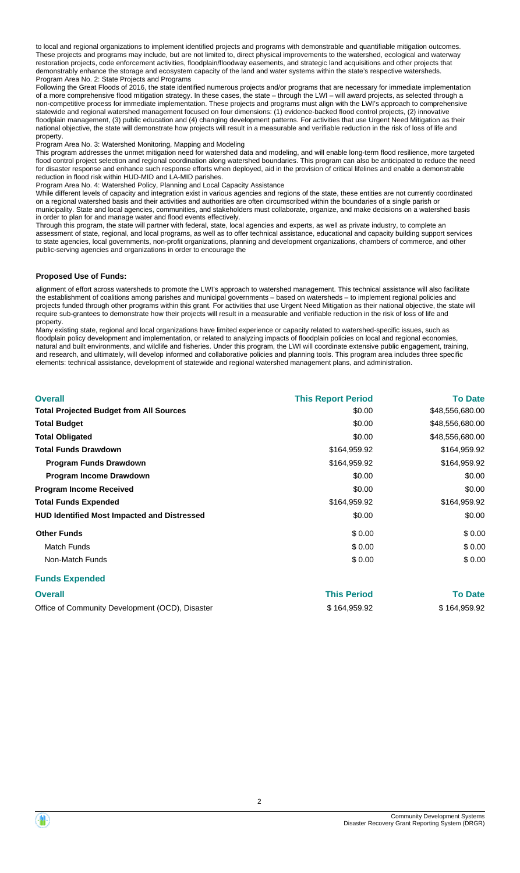to local and regional organizations to implement identified projects and programs with demonstrable and quantifiable mitigation outcomes. These projects and programs may include, but are not limited to, direct physical improvements to the watershed, ecological and waterway restoration projects, code enforcement activities, floodplain/floodway easements, and strategic land acquisitions and other projects that demonstrably enhance the storage and ecosystem capacity of the land and water systems within the state's respective watersheds. Program Area No. 2: State Projects and Programs

Following the Great Floods of 2016, the state identified numerous projects and/or programs that are necessary for immediate implementation of a more comprehensive flood mitigation strategy. In these cases, the state – through the LWI – will award projects, as selected through a non-competitive process for immediate implementation. These projects and programs must align with the LWI's approach to comprehensive statewide and regional watershed management focused on four dimensions: (1) evidence-backed flood control projects, (2) innovative floodplain management, (3) public education and (4) changing development patterns. For activities that use Urgent Need Mitigation as their national objective, the state will demonstrate how projects will result in a measurable and verifiable reduction in the risk of loss of life and property.

Program Area No. 3: Watershed Monitoring, Mapping and Modeling

This program addresses the unmet mitigation need for watershed data and modeling, and will enable long-term flood resilience, more targeted flood control project selection and regional coordination along watershed boundaries. This program can also be anticipated to reduce the need for disaster response and enhance such response efforts when deployed, aid in the provision of critical lifelines and enable a demonstrable reduction in flood risk within HUD-MID and LA-MID parishes.

Program Area No. 4: Watershed Policy, Planning and Local Capacity Assistance

While different levels of capacity and integration exist in various agencies and regions of the state, these entities are not currently coordinated on a regional watershed basis and their activities and authorities are often circumscribed within the boundaries of a single parish or municipality. State and local agencies, communities, and stakeholders must collaborate, organize, and make decisions on a watershed basis in order to plan for and manage water and flood events effectively.

Through this program, the state will partner with federal, state, local agencies and experts, as well as private industry, to complete an assessment of state, regional, and local programs, as well as to offer technical assistance, educational and capacity building support services to state agencies, local governments, non-profit organizations, planning and development organizations, chambers of commerce, and other public-serving agencies and organizations in order to encourage the

#### **Proposed Use of Funds:**

alignment of effort across watersheds to promote the LWI's approach to watershed management. This technical assistance will also facilitate the establishment of coalitions among parishes and municipal governments – based on watersheds – to implement regional policies and projects funded through other programs within this grant. For activities that use Urgent Need Mitigation as their national objective, the state will require sub-grantees to demonstrate how their projects will result in a measurable and verifiable reduction in the risk of loss of life and property.

Many existing state, regional and local organizations have limited experience or capacity related to watershed-specific issues, such as floodplain policy development and implementation, or related to analyzing impacts of floodplain policies on local and regional economies, natural and built environments, and wildlife and fisheries. Under this program, the LWI will coordinate extensive public engagement, training, and research, and ultimately, will develop informed and collaborative policies and planning tools. This program area includes three specific elements: technical assistance, development of statewide and regional watershed management plans, and administration.

| <b>Overall</b>                                     | <b>This Report Period</b> | <b>To Date</b>  |
|----------------------------------------------------|---------------------------|-----------------|
| <b>Total Projected Budget from All Sources</b>     | \$0.00                    | \$48,556,680.00 |
| <b>Total Budget</b>                                | \$0.00                    | \$48,556,680.00 |
| <b>Total Obligated</b>                             | \$0.00                    | \$48,556,680.00 |
| <b>Total Funds Drawdown</b>                        | \$164,959.92              | \$164,959.92    |
| <b>Program Funds Drawdown</b>                      | \$164,959.92              | \$164,959.92    |
| Program Income Drawdown                            | \$0.00                    | \$0.00          |
| <b>Program Income Received</b>                     | \$0.00                    | \$0.00          |
| <b>Total Funds Expended</b>                        | \$164,959.92              | \$164,959.92    |
| <b>HUD Identified Most Impacted and Distressed</b> | \$0.00                    | \$0.00          |
| <b>Other Funds</b>                                 | \$0.00                    | \$0.00          |
| <b>Match Funds</b>                                 | \$0.00                    | \$0.00          |
| Non-Match Funds                                    | \$0.00                    | \$0.00          |
| Eunde Evnended                                     |                           |                 |

#### **Funds Expended**

| <b>Overall</b>                                  | <b>This Period</b> | <b>To Date</b> |
|-------------------------------------------------|--------------------|----------------|
| Office of Community Development (OCD), Disaster | \$164,959,92       | \$164,959.92   |

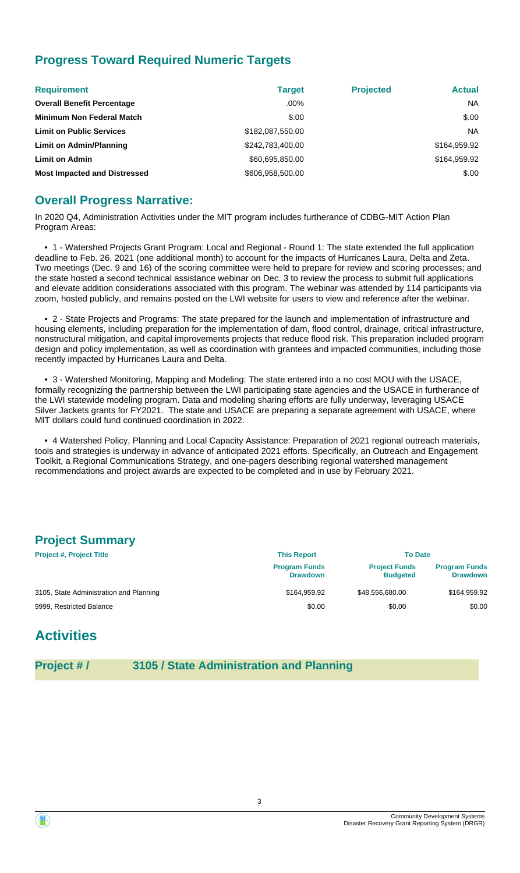## **Progress Toward Required Numeric Targets**

| <b>Requirement</b>                  | <b>Target</b>    | <b>Projected</b> | <b>Actual</b> |
|-------------------------------------|------------------|------------------|---------------|
| <b>Overall Benefit Percentage</b>   | $.00\%$          |                  | <b>NA</b>     |
| <b>Minimum Non Federal Match</b>    | \$.00            |                  | \$.00         |
| <b>Limit on Public Services</b>     | \$182,087,550.00 |                  | <b>NA</b>     |
| <b>Limit on Admin/Planning</b>      | \$242,783,400.00 |                  | \$164,959.92  |
| <b>Limit on Admin</b>               | \$60,695,850.00  |                  | \$164,959.92  |
| <b>Most Impacted and Distressed</b> | \$606,958,500.00 |                  | \$.00         |

## **Overall Progress Narrative:**

In 2020 Q4, Administration Activities under the MIT program includes furtherance of CDBG-MIT Action Plan Program Areas:

 • 1 - Watershed Projects Grant Program: Local and Regional - Round 1: The state extended the full application deadline to Feb. 26, 2021 (one additional month) to account for the impacts of Hurricanes Laura, Delta and Zeta. Two meetings (Dec. 9 and 16) of the scoring committee were held to prepare for review and scoring processes; and the state hosted a second technical assistance webinar on Dec. 3 to review the process to submit full applications and elevate addition considerations associated with this program. The webinar was attended by 114 participants via zoom, hosted publicly, and remains posted on the LWI website for users to view and reference after the webinar.

 • 2 - State Projects and Programs: The state prepared for the launch and implementation of infrastructure and housing elements, including preparation for the implementation of dam, flood control, drainage, critical infrastructure, nonstructural mitigation, and capital improvements projects that reduce flood risk. This preparation included program design and policy implementation, as well as coordination with grantees and impacted communities, including those recently impacted by Hurricanes Laura and Delta.

 • 3 - Watershed Monitoring, Mapping and Modeling: The state entered into a no cost MOU with the USACE, formally recognizing the partnership between the LWI participating state agencies and the USACE in furtherance of the LWI statewide modeling program. Data and modeling sharing efforts are fully underway, leveraging USACE Silver Jackets grants for FY2021. The state and USACE are preparing a separate agreement with USACE, where MIT dollars could fund continued coordination in 2022.

 • 4 Watershed Policy, Planning and Local Capacity Assistance: Preparation of 2021 regional outreach materials, tools and strategies is underway in advance of anticipated 2021 efforts. Specifically, an Outreach and Engagement Toolkit, a Regional Communications Strategy, and one-pagers describing regional watershed management recommendations and project awards are expected to be completed and in use by February 2021.

## **Project Summary**

| <b>Project #, Project Title</b>         | <b>This Report</b>                      | <b>To Date</b>                          |                                         |
|-----------------------------------------|-----------------------------------------|-----------------------------------------|-----------------------------------------|
|                                         | <b>Program Funds</b><br><b>Drawdown</b> | <b>Project Funds</b><br><b>Budgeted</b> | <b>Program Funds</b><br><b>Drawdown</b> |
| 3105, State Administration and Planning | \$164.959.92                            | \$48.556.680.00                         | \$164,959.92                            |
| 9999, Restricted Balance                | \$0.00                                  | \$0.00                                  | \$0.00                                  |

# **Activities**

**Project # / 3105 / State Administration and Planning**

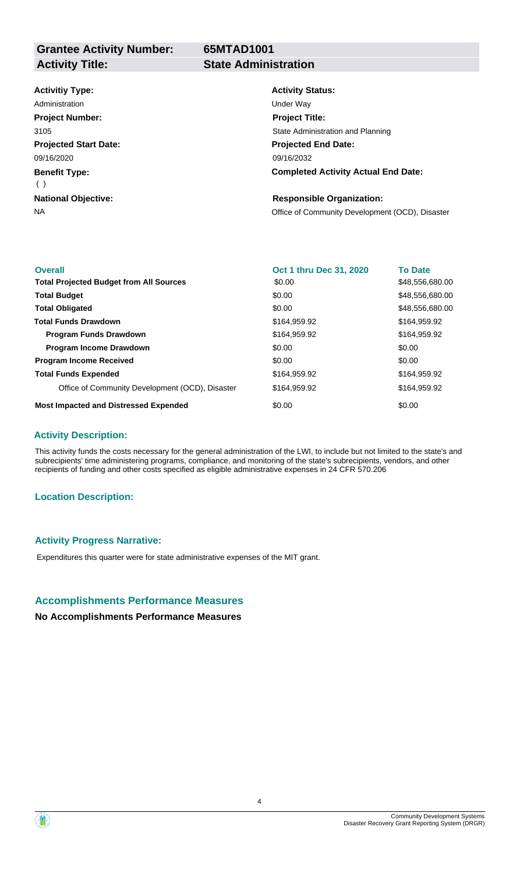**65MTAD1001**

## **Activitiy Type:**

**Projected Start Date: Benefit Type: National Objective:** 09/16/2020 ( ) Administration **National Contract Contract Contract Contract Contract Contract Contract Contract Contract Contract Contract Contract Contract Contract Contract Contract Contract Contract Contract Contract Contract Contract Project Number:** 3105

# **Activity Status:**

**Projected End Date: Completed Activity Actual End Date:** 09/16/2032 **Project Title:** State Administration and Planning

## **Responsible Organization:**

NA **NA** Office of Community Development (OCD), Disaster

| <b>Overall</b>                                  | Oct 1 thru Dec 31, 2020 | <b>To Date</b>  |
|-------------------------------------------------|-------------------------|-----------------|
| <b>Total Projected Budget from All Sources</b>  | \$0.00                  | \$48,556,680.00 |
| <b>Total Budget</b>                             | \$0.00                  | \$48,556,680.00 |
| <b>Total Obligated</b>                          | \$0.00                  | \$48,556,680.00 |
| <b>Total Funds Drawdown</b>                     | \$164,959.92            | \$164,959.92    |
| <b>Program Funds Drawdown</b>                   | \$164,959.92            | \$164,959.92    |
| <b>Program Income Drawdown</b>                  | \$0.00                  | \$0.00          |
| <b>Program Income Received</b>                  | \$0.00                  | \$0.00          |
| <b>Total Funds Expended</b>                     | \$164,959.92            | \$164,959.92    |
| Office of Community Development (OCD), Disaster | \$164,959.92            | \$164,959.92    |
| <b>Most Impacted and Distressed Expended</b>    | \$0.00                  | \$0.00          |

#### **Activity Description:**

This activity funds the costs necessary for the general administration of the LWI, to include but not limited to the state's and subrecipients' time administering programs, compliance, and monitoring of the state's subrecipients, vendors, and other recipients of funding and other costs specified as eligible administrative expenses in 24 CFR 570.206

#### **Location Description:**

#### **Activity Progress Narrative:**

Expenditures this quarter were for state administrative expenses of the MIT grant.

#### **Accomplishments Performance Measures**

#### **No Accomplishments Performance Measures**